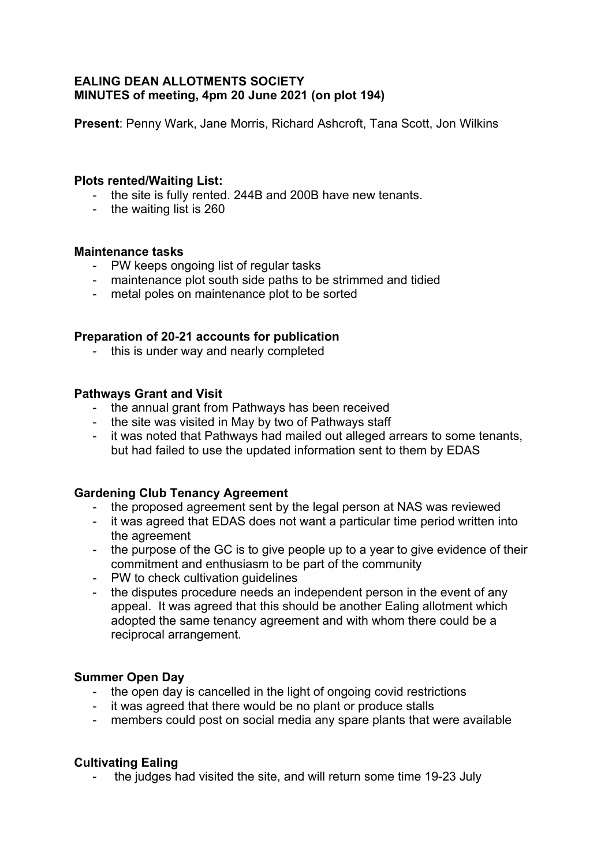# **EALING DEAN ALLOTMENTS SOCIETY MINUTES of meeting, 4pm 20 June 2021 (on plot 194)**

**Present**: Penny Wark, Jane Morris, Richard Ashcroft, Tana Scott, Jon Wilkins

### **Plots rented/Waiting List:**

- the site is fully rented. 244B and 200B have new tenants.
- the waiting list is 260

#### **Maintenance tasks**

- PW keeps ongoing list of regular tasks
- maintenance plot south side paths to be strimmed and tidied
- metal poles on maintenance plot to be sorted

## **Preparation of 20-21 accounts for publication**

- this is under way and nearly completed

#### **Pathways Grant and Visit**

- the annual grant from Pathways has been received
- the site was visited in May by two of Pathways staff
- it was noted that Pathways had mailed out alleged arrears to some tenants, but had failed to use the updated information sent to them by EDAS

#### **Gardening Club Tenancy Agreement**

- the proposed agreement sent by the legal person at NAS was reviewed
- it was agreed that EDAS does not want a particular time period written into the agreement
- the purpose of the GC is to give people up to a year to give evidence of their commitment and enthusiasm to be part of the community
- PW to check cultivation guidelines
- the disputes procedure needs an independent person in the event of any appeal. It was agreed that this should be another Ealing allotment which adopted the same tenancy agreement and with whom there could be a reciprocal arrangement.

## **Summer Open Day**

- the open day is cancelled in the light of ongoing covid restrictions
- it was agreed that there would be no plant or produce stalls
- members could post on social media any spare plants that were available

## **Cultivating Ealing**

- the judges had visited the site, and will return some time 19-23 July